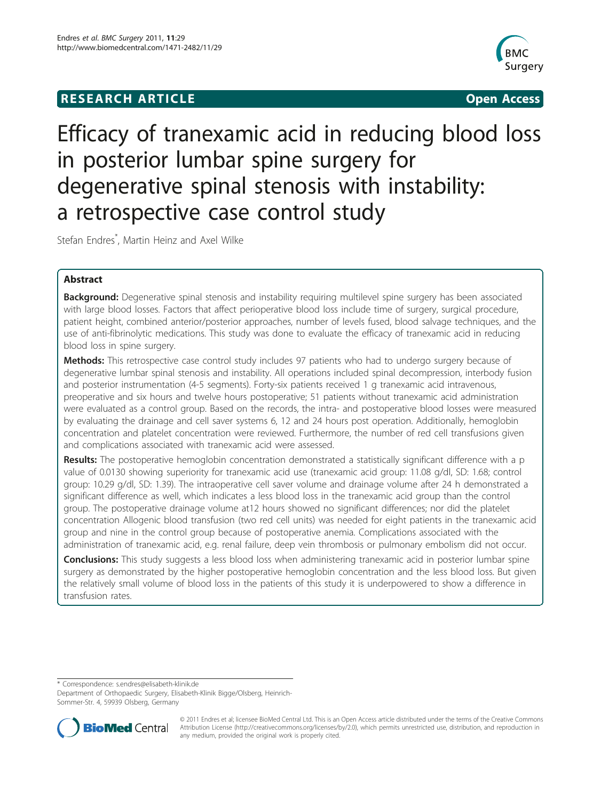# **RESEARCH ARTICLE Example 2018 12:00 Open Access**



# Efficacy of tranexamic acid in reducing blood loss in posterior lumbar spine surgery for degenerative spinal stenosis with instability: a retrospective case control study

Stefan Endres\* , Martin Heinz and Axel Wilke

# Abstract

**Background:** Degenerative spinal stenosis and instability requiring multilevel spine surgery has been associated with large blood losses. Factors that affect perioperative blood loss include time of surgery, surgical procedure, patient height, combined anterior/posterior approaches, number of levels fused, blood salvage techniques, and the use of anti-fibrinolytic medications. This study was done to evaluate the efficacy of tranexamic acid in reducing blood loss in spine surgery.

Methods: This retrospective case control study includes 97 patients who had to undergo surgery because of degenerative lumbar spinal stenosis and instability. All operations included spinal decompression, interbody fusion and posterior instrumentation (4-5 segments). Forty-six patients received 1 g tranexamic acid intravenous, preoperative and six hours and twelve hours postoperative; 51 patients without tranexamic acid administration were evaluated as a control group. Based on the records, the intra- and postoperative blood losses were measured by evaluating the drainage and cell saver systems 6, 12 and 24 hours post operation. Additionally, hemoglobin concentration and platelet concentration were reviewed. Furthermore, the number of red cell transfusions given and complications associated with tranexamic acid were assessed.

Results: The postoperative hemoglobin concentration demonstrated a statistically significant difference with a p value of 0.0130 showing superiority for tranexamic acid use (tranexamic acid group: 11.08 g/dl, SD: 1.68; control group: 10.29 g/dl, SD: 1.39). The intraoperative cell saver volume and drainage volume after 24 h demonstrated a significant difference as well, which indicates a less blood loss in the tranexamic acid group than the control group. The postoperative drainage volume at12 hours showed no significant differences; nor did the platelet concentration Allogenic blood transfusion (two red cell units) was needed for eight patients in the tranexamic acid group and nine in the control group because of postoperative anemia. Complications associated with the administration of tranexamic acid, e.g. renal failure, deep vein thrombosis or pulmonary embolism did not occur.

**Conclusions:** This study suggests a less blood loss when administering tranexamic acid in posterior lumbar spine surgery as demonstrated by the higher postoperative hemoglobin concentration and the less blood loss. But given the relatively small volume of blood loss in the patients of this study it is underpowered to show a difference in transfusion rates.

\* Correspondence: [s.endres@elisabeth-klinik.de](mailto:s.endres@elisabeth-klinik.de)

Department of Orthopaedic Surgery, Elisabeth-Klinik Bigge/Olsberg, Heinrich-Sommer-Str. 4, 59939 Olsberg, Germany



© 2011 Endres et al; licensee BioMed Central Ltd. This is an Open Access article distributed under the terms of the Creative Commons Attribution License [\(http://creativecommons.org/licenses/by/2.0](http://creativecommons.org/licenses/by/2.0)), which permits unrestricted use, distribution, and reproduction in any medium, provided the original work is properly cited.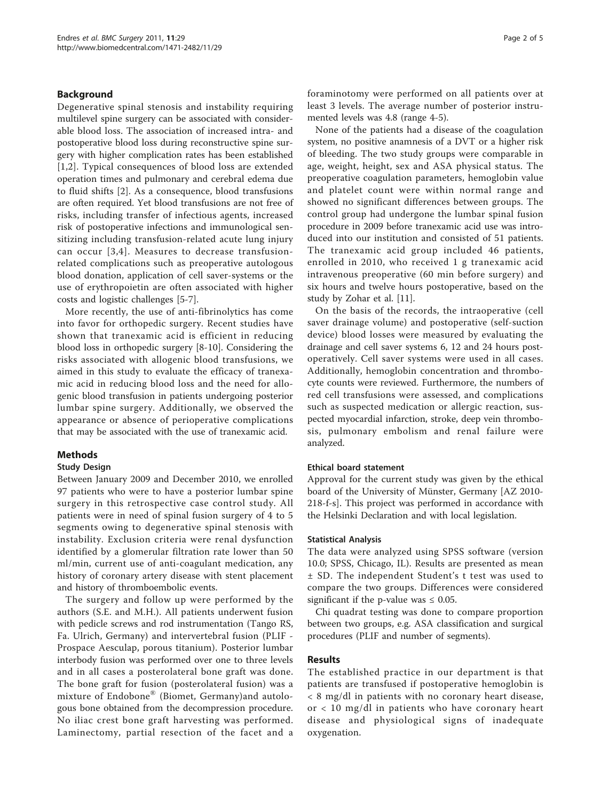# Background

Degenerative spinal stenosis and instability requiring multilevel spine surgery can be associated with considerable blood loss. The association of increased intra- and postoperative blood loss during reconstructive spine surgery with higher complication rates has been established [[1,2](#page-4-0)]. Typical consequences of blood loss are extended operation times and pulmonary and cerebral edema due to fluid shifts [\[2](#page-4-0)]. As a consequence, blood transfusions are often required. Yet blood transfusions are not free of risks, including transfer of infectious agents, increased risk of postoperative infections and immunological sensitizing including transfusion-related acute lung injury can occur [[3,4\]](#page-4-0). Measures to decrease transfusionrelated complications such as preoperative autologous blood donation, application of cell saver-systems or the use of erythropoietin are often associated with higher costs and logistic challenges [\[5](#page-4-0)-[7\]](#page-4-0).

More recently, the use of anti-fibrinolytics has come into favor for orthopedic surgery. Recent studies have shown that tranexamic acid is efficient in reducing blood loss in orthopedic surgery [[8](#page-4-0)-[10\]](#page-4-0). Considering the risks associated with allogenic blood transfusions, we aimed in this study to evaluate the efficacy of tranexamic acid in reducing blood loss and the need for allogenic blood transfusion in patients undergoing posterior lumbar spine surgery. Additionally, we observed the appearance or absence of perioperative complications that may be associated with the use of tranexamic acid.

# Methods

# Study Design

Between January 2009 and December 2010, we enrolled 97 patients who were to have a posterior lumbar spine surgery in this retrospective case control study. All patients were in need of spinal fusion surgery of 4 to 5 segments owing to degenerative spinal stenosis with instability. Exclusion criteria were renal dysfunction identified by a glomerular filtration rate lower than 50 ml/min, current use of anti-coagulant medication, any history of coronary artery disease with stent placement and history of thromboembolic events.

The surgery and follow up were performed by the authors (S.E. and M.H.). All patients underwent fusion with pedicle screws and rod instrumentation (Tango RS, Fa. Ulrich, Germany) and intervertebral fusion (PLIF - Prospace Aesculap, porous titanium). Posterior lumbar interbody fusion was performed over one to three levels and in all cases a posterolateral bone graft was done. The bone graft for fusion (posterolateral fusion) was a mixture of Endobone® (Biomet, Germany)and autologous bone obtained from the decompression procedure. No iliac crest bone graft harvesting was performed. Laminectomy, partial resection of the facet and a foraminotomy were performed on all patients over at least 3 levels. The average number of posterior instrumented levels was 4.8 (range 4-5).

None of the patients had a disease of the coagulation system, no positive anamnesis of a DVT or a higher risk of bleeding. The two study groups were comparable in age, weight, height, sex and ASA physical status. The preoperative coagulation parameters, hemoglobin value and platelet count were within normal range and showed no significant differences between groups. The control group had undergone the lumbar spinal fusion procedure in 2009 before tranexamic acid use was introduced into our institution and consisted of 51 patients. The tranexamic acid group included 46 patients, enrolled in 2010, who received 1 g tranexamic acid intravenous preoperative (60 min before surgery) and six hours and twelve hours postoperative, based on the study by Zohar et al. [\[11](#page-4-0)].

On the basis of the records, the intraoperative (cell saver drainage volume) and postoperative (self-suction device) blood losses were measured by evaluating the drainage and cell saver systems 6, 12 and 24 hours postoperatively. Cell saver systems were used in all cases. Additionally, hemoglobin concentration and thrombocyte counts were reviewed. Furthermore, the numbers of red cell transfusions were assessed, and complications such as suspected medication or allergic reaction, suspected myocardial infarction, stroke, deep vein thrombosis, pulmonary embolism and renal failure were analyzed.

# Ethical board statement

Approval for the current study was given by the ethical board of the University of Münster, Germany [AZ 2010- 218-f-s]. This project was performed in accordance with the Helsinki Declaration and with local legislation.

# Statistical Analysis

The data were analyzed using SPSS software (version 10.0; SPSS, Chicago, IL). Results are presented as mean ± SD. The independent Student's t test was used to compare the two groups. Differences were considered significant if the p-value was  $\leq 0.05$ .

Chi quadrat testing was done to compare proportion between two groups, e.g. ASA classification and surgical procedures (PLIF and number of segments).

# Results

The established practice in our department is that patients are transfused if postoperative hemoglobin is < 8 mg/dl in patients with no coronary heart disease, or < 10 mg/dl in patients who have coronary heart disease and physiological signs of inadequate oxygenation.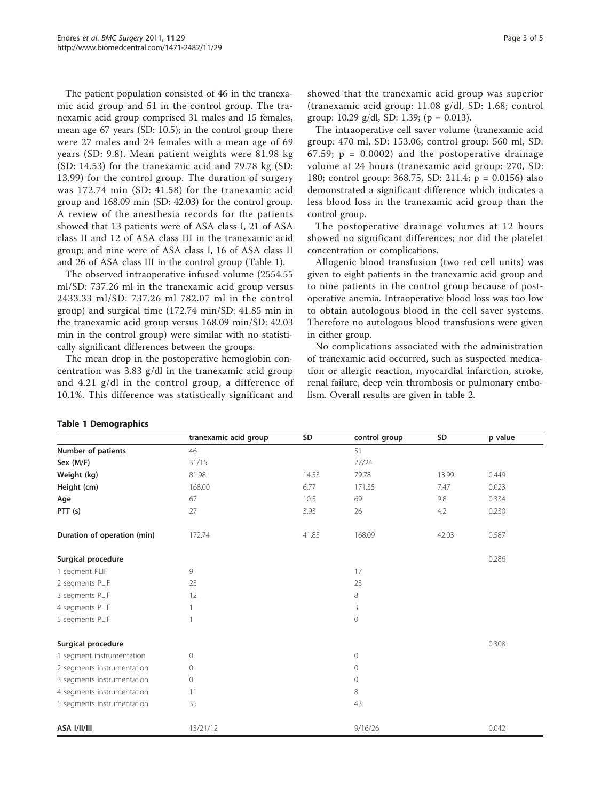The patient population consisted of 46 in the tranexamic acid group and 51 in the control group. The tranexamic acid group comprised 31 males and 15 females, mean age 67 years (SD: 10.5); in the control group there were 27 males and 24 females with a mean age of 69 years (SD: 9.8). Mean patient weights were 81.98 kg (SD: 14.53) for the tranexamic acid and 79.78 kg (SD: 13.99) for the control group. The duration of surgery was 172.74 min (SD: 41.58) for the tranexamic acid group and 168.09 min (SD: 42.03) for the control group. A review of the anesthesia records for the patients showed that 13 patients were of ASA class I, 21 of ASA class II and 12 of ASA class III in the tranexamic acid group; and nine were of ASA class I, 16 of ASA class II and 26 of ASA class III in the control group (Table 1).

The observed intraoperative infused volume (2554.55 ml/SD: 737.26 ml in the tranexamic acid group versus 2433.33 ml/SD: 737.26 ml 782.07 ml in the control group) and surgical time (172.74 min/SD: 41.85 min in the tranexamic acid group versus 168.09 min/SD: 42.03 min in the control group) were similar with no statistically significant differences between the groups.

The mean drop in the postoperative hemoglobin concentration was 3.83 g/dl in the tranexamic acid group and 4.21 g/dl in the control group, a difference of 10.1%. This difference was statistically significant and

showed that the tranexamic acid group was superior (tranexamic acid group: 11.08 g/dl, SD: 1.68; control group: 10.29 g/dl, SD: 1.39; (p = 0.013).

The intraoperative cell saver volume (tranexamic acid group: 470 ml, SD: 153.06; control group: 560 ml, SD: 67.59;  $p = 0.0002$  and the postoperative drainage volume at 24 hours (tranexamic acid group: 270, SD: 180; control group: 368.75, SD: 211.4; p = 0.0156) also demonstrated a significant difference which indicates a less blood loss in the tranexamic acid group than the control group.

The postoperative drainage volumes at 12 hours showed no significant differences; nor did the platelet concentration or complications.

Allogenic blood transfusion (two red cell units) was given to eight patients in the tranexamic acid group and to nine patients in the control group because of postoperative anemia. Intraoperative blood loss was too low to obtain autologous blood in the cell saver systems. Therefore no autologous blood transfusions were given in either group.

No complications associated with the administration of tranexamic acid occurred, such as suspected medication or allergic reaction, myocardial infarction, stroke, renal failure, deep vein thrombosis or pulmonary embolism. Overall results are given in table [2.](#page-3-0)

|                             | tranexamic acid group | SD    | control group | SD    | p value |
|-----------------------------|-----------------------|-------|---------------|-------|---------|
| Number of patients          | 46                    |       | 51            |       |         |
| Sex (M/F)                   | 31/15                 |       | 27/24         |       |         |
| Weight (kg)                 | 81.98                 | 14.53 | 79.78         | 13.99 | 0.449   |
| Height (cm)                 | 168.00                | 6.77  | 171.35        | 7.47  | 0.023   |
| Age                         | 67                    | 10.5  | 69            | 9.8   | 0.334   |
| PTT(s)                      | 27                    | 3.93  | 26            | 4.2   | 0.230   |
| Duration of operation (min) | 172.74                | 41.85 | 168.09        | 42.03 | 0.587   |
| Surgical procedure          |                       |       |               |       | 0.286   |
| 1 segment PLIF              | 9                     |       | 17            |       |         |
| 2 segments PLIF             | 23                    |       | 23            |       |         |
| 3 segments PLIF             | 12                    |       | 8             |       |         |
| 4 segments PLIF             | $\mathbf{1}$          |       | 3             |       |         |
| 5 segments PLIF             | $\mathbf{1}$          |       | 0             |       |         |
| Surgical procedure          |                       |       |               |       | 0.308   |
| 1 segment instrumentation   | $\circ$               |       | 0             |       |         |
| 2 segments instrumentation  | $\circ$               |       | 0             |       |         |
| 3 segments instrumentation  | $\circ$               |       | $\Omega$      |       |         |
| 4 segments instrumentation  | 11                    |       | 8             |       |         |
| 5 segments instrumentation  | 35                    |       | 43            |       |         |
| ASA I/II/III                | 13/21/12              |       | 9/16/26       |       | 0.042   |

#### Table 1 Demographics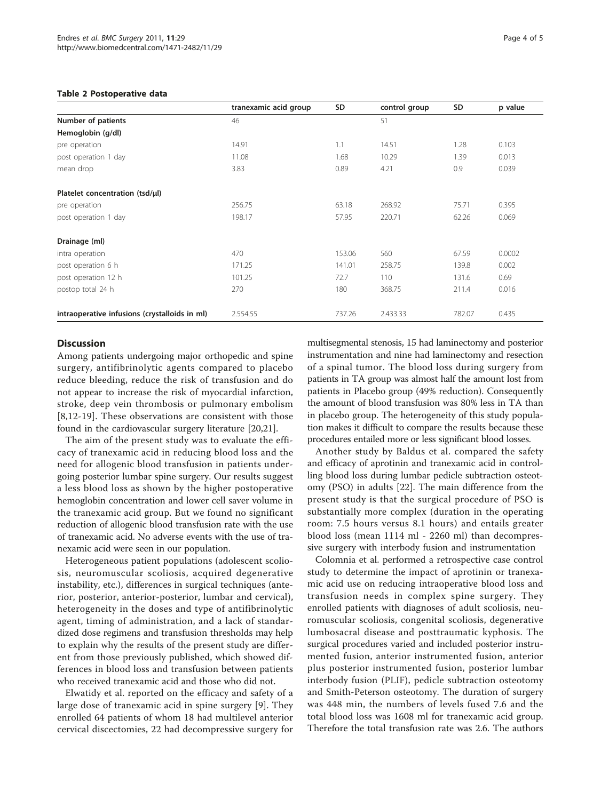#### <span id="page-3-0"></span>Table 2 Postoperative data

|                                               | tranexamic acid group | SD     | control group | SD     | p value |
|-----------------------------------------------|-----------------------|--------|---------------|--------|---------|
| Number of patients                            | 46                    |        | 51            |        |         |
| Hemoglobin (g/dl)                             |                       |        |               |        |         |
| pre operation                                 | 14.91                 | 1.1    | 14.51         | 1.28   | 0.103   |
| post operation 1 day                          | 11.08                 | 1.68   | 10.29         | 1.39   | 0.013   |
| mean drop                                     | 3.83                  | 0.89   | 4.21          | 0.9    | 0.039   |
| Platelet concentration (tsd/µl)               |                       |        |               |        |         |
| pre operation                                 | 256.75                | 63.18  | 268.92        | 75.71  | 0.395   |
| post operation 1 day                          | 198.17                | 57.95  | 220.71        | 62.26  | 0.069   |
| Drainage (ml)                                 |                       |        |               |        |         |
| intra operation                               | 470                   | 153.06 | 560           | 67.59  | 0.0002  |
| post operation 6 h                            | 171.25                | 141.01 | 258.75        | 139.8  | 0.002   |
| post operation 12 h                           | 101.25                | 72.7   | 110           | 131.6  | 0.69    |
| postop total 24 h                             | 270                   | 180    | 368.75        | 211.4  | 0.016   |
| intraoperative infusions (crystalloids in ml) | 2.554.55              | 737.26 | 2.433.33      | 782.07 | 0.435   |

# **Discussion**

Among patients undergoing major orthopedic and spine surgery, antifibrinolytic agents compared to placebo reduce bleeding, reduce the risk of transfusion and do not appear to increase the risk of myocardial infarction, stroke, deep vein thrombosis or pulmonary embolism [[8,12](#page-4-0)-[19](#page-4-0)]. These observations are consistent with those found in the cardiovascular surgery literature [[20,21\]](#page-4-0).

The aim of the present study was to evaluate the efficacy of tranexamic acid in reducing blood loss and the need for allogenic blood transfusion in patients undergoing posterior lumbar spine surgery. Our results suggest a less blood loss as shown by the higher postoperative hemoglobin concentration and lower cell saver volume in the tranexamic acid group. But we found no significant reduction of allogenic blood transfusion rate with the use of tranexamic acid. No adverse events with the use of tranexamic acid were seen in our population.

Heterogeneous patient populations (adolescent scoliosis, neuromuscular scoliosis, acquired degenerative instability, etc.), differences in surgical techniques (anterior, posterior, anterior-posterior, lumbar and cervical), heterogeneity in the doses and type of antifibrinolytic agent, timing of administration, and a lack of standardized dose regimens and transfusion thresholds may help to explain why the results of the present study are different from those previously published, which showed differences in blood loss and transfusion between patients who received tranexamic acid and those who did not.

Elwatidy et al. reported on the efficacy and safety of a large dose of tranexamic acid in spine surgery [[9\]](#page-4-0). They enrolled 64 patients of whom 18 had multilevel anterior cervical discectomies, 22 had decompressive surgery for

multisegmental stenosis, 15 had laminectomy and posterior instrumentation and nine had laminectomy and resection of a spinal tumor. The blood loss during surgery from patients in TA group was almost half the amount lost from patients in Placebo group (49% reduction). Consequently the amount of blood transfusion was 80% less in TA than in placebo group. The heterogeneity of this study population makes it difficult to compare the results because these procedures entailed more or less significant blood losses.

Another study by Baldus et al. compared the safety and efficacy of aprotinin and tranexamic acid in controlling blood loss during lumbar pedicle subtraction osteotomy (PSO) in adults [\[22](#page-4-0)]. The main difference from the present study is that the surgical procedure of PSO is substantially more complex (duration in the operating room: 7.5 hours versus 8.1 hours) and entails greater blood loss (mean 1114 ml - 2260 ml) than decompressive surgery with interbody fusion and instrumentation

Colomnia et al. performed a retrospective case control study to determine the impact of aprotinin or tranexamic acid use on reducing intraoperative blood loss and transfusion needs in complex spine surgery. They enrolled patients with diagnoses of adult scoliosis, neuromuscular scoliosis, congenital scoliosis, degenerative lumbosacral disease and posttraumatic kyphosis. The surgical procedures varied and included posterior instrumented fusion, anterior instrumented fusion, anterior plus posterior instrumented fusion, posterior lumbar interbody fusion (PLIF), pedicle subtraction osteotomy and Smith-Peterson osteotomy. The duration of surgery was 448 min, the numbers of levels fused 7.6 and the total blood loss was 1608 ml for tranexamic acid group. Therefore the total transfusion rate was 2.6. The authors